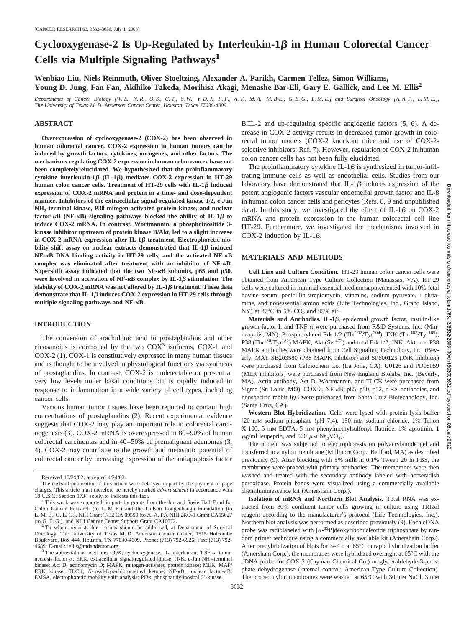# Cyclooxygenase-2 Is Up-Regulated by Interleukin- $1\beta$  in Human Colorectal Cancer **Cells via Multiple Signaling Pathways<sup>1</sup>**

**Wenbiao Liu, Niels Reinmuth, Oliver Stoeltzing, Alexander A. Parikh, Carmen Tellez, Simon Williams, Young D. Jung, Fan Fan, Akihiko Takeda, Morihisa Akagi, Menashe Bar-Eli, Gary E. Gallick, and Lee M. Ellis2**

*Departments of Cancer Biology [W. L., N. R., O. S., C. T., S. W., Y. D. J., F. F., A. T., M. A., M. B-E., G. E. G., L. M. E.] and Surgical Oncology [A. A. P., L. M. E.], The University of Texas M. D. Anderson Cancer Center, Houston, Texas 77030-4009*

#### **ABSTRACT**

**Overexpression of cyclooxygenase-2 (COX-2) has been observed in human colorectal cancer. COX-2 expression in human tumors can be induced by growth factors, cytokines, oncogenes, and other factors. The mechanisms regulating COX-2 expression in human colon cancer have not been completely elucidated. We hypothesized that the proinflammatory**  $cv$ tokine interleukin- $1\beta$  (IL- $1\beta$ ) mediates COX-2 expression in HT-29 **human colon cancer cells. Treatment of HT-29 cells with IL-1B induced expression of COX-2 mRNA and protein in a time- and dose-dependent manner. Inhibitors of the extracellular signal-regulated kinase 1/2, c-Jun NH2-terminal kinase, P38 mitogen-activated protein kinase, and nuclear** factor- $\kappa$ B (NF- $\kappa$ B) signaling pathways blocked the ability of IL-1 $\beta$  to **induce COX-2 mRNA. In contrast, Wortmannin, a phosphoinositide 3 kinase inhibitor upstream of protein kinase B/Akt, led to a slight increase** in COX-2 mRNA expression after IL-1 $\beta$  treatment. Electrophoretic mobility shift assay on nuclear extracts demonstrated that  $IL-1\beta$  induced NF- $\kappa$ B DNA binding activity in HT-29 cells, and the activated NF- $\kappa$ B complex was eliminated after treatment with an inhibitor of NF- $\kappa$ B. **Supershift assay indicated that the two NF-**-**B subunits, p65 and p50,** were involved in activation of  $NF$ - $\kappa$ B complex by IL-1 $\beta$  stimulation. The stability of  $COX-2$  mRNA was not altered by  $IL-1\beta$  treatment. These data demonstrate that IL-1 $\beta$  induces COX-2 expression in HT-29 cells through multiple signaling pathways and NF- $\kappa$ B.

## **INTRODUCTION**

The conversion of arachidonic acid to prostaglandins and other eicosanoids is controlled by the two  $COX<sup>3</sup>$  isoforms,  $COX-1$  and COX-2 (1). COX-1 is constitutively expressed in many human tissues and is thought to be involved in physiological functions via synthesis of prostaglandins. In contrast, COX-2 is undetectable or present at very low levels under basal conditions but is rapidly induced in response to inflammation in a wide variety of cell types, including cancer cells.

Various human tumor tissues have been reported to contain high concentrations of prostaglandins (2). Recent experimental evidence suggests that COX-2 may play an important role in colorectal carcinogenesis (3). COX-2 mRNA is overexpressed in 80–90% of human colorectal carcinomas and in 40–50% of premalignant adenomas (3, 4). COX-2 may contribute to the growth and metastatic potential of colorectal cancer by increasing expression of the antiapoptosis factor BCL-2 and up-regulating specific angiogenic factors (5, 6). A decrease in COX-2 activity results in decreased tumor growth in colorectal tumor models (COX-2 knockout mice and use of COX-2 selective inhibitors; Ref. 7). However, regulation of COX-2 in human colon cancer cells has not been fully elucidated.

The proinflammatory cytokine IL-1 $\beta$  is synthesized in tumor-infiltrating immune cells as well as endothelial cells. Studies from our laboratory have demonstrated that IL-1 $\beta$  induces expression of the potent angiogenic factors vascular endothelial growth factor and IL-8 in human colon cancer cells and pericytes (Refs. 8, 9 and unpublished data). In this study, we investigated the effect of IL-1 $\beta$  on COX-2 mRNA and protein expression in the human colorectal cell line HT-29. Furthermore, we investigated the mechanisms involved in COX-2 induction by IL-1 $\beta$ .

#### **MATERIALS AND METHODS**

**Cell Line and Culture Condition.** HT-29 human colon cancer cells were obtained from American Type Culture Collection (Manassas, VA). HT-29 cells were cultured in minimal essential medium supplemented with 10% fetal bovine serum, penicillin-streptomycin, vitamins, sodium pyruvate, L-glutamine, and nonessential amino acids (Life Technologies, Inc., Grand Island, NY) at  $37^{\circ}$ C in 5% CO<sub>2</sub> and 95% air.

**Materials and Antibodies.** IL-1 $\beta$ , epidermal growth factor, insulin-like growth factor-I, and TNF- $\alpha$  were purchased from R&D Systems, Inc. (Minneapolis, MN). Phosphorylated Erk  $1/2$  (Thr<sup>202</sup>/Tyr<sup>204</sup>), JNK (Thr<sup>183</sup>/Tyr<sup>185</sup>), P38 (Thr<sup>180</sup>/Tyr<sup>182</sup>) MAPK, Akt (Ser<sup>473</sup>) and total Erk 1/2, JNK, Akt, and P38 MAPK antibodies were obtained from Cell Signaling Technology, Inc. (Beverly, MA). SB203580 (P38 MAPK inhibitor) and SP600125 (JNK inhibitor) were purchased from Calbiochem Co. (La Jolla, CA). U0126 and PD98059 (MEK inhibitors) were purchased from New England Biolabs, Inc. (Beverly, MA). Actin antibody, Act D, Wortmannin, and TLCK were purchased from Sigma (St. Louis, MO). COX-2, NF- $\kappa$ B, p65, p50, p52, c-Rel antibodies, and nonspecific rabbit IgG were purchased from Santa Cruz Biotechnology, Inc. (Santa Cruz, CA).

**Western Blot Hybridization.** Cells were lysed with protein lysis buffer [20 mM sodium phosphate (pH 7.4), 150 mM sodium chloride, 1% Triton X-100, 5 mM EDTA, 5 mM phenylmethylsulfonyl fluoride, 1% aprotinin, 1  $\mu$ g/ml leupeptin, and 500  $\mu$ M Na<sub>3</sub>VO<sub>4</sub>].

The protein was subjected to electrophoresis on polyacrylamide gel and transferred to a nylon membrane (Millipore Corp., Bedford, MA) as described previously (9). After blocking with 5% milk in 0.1% Tween 20 in PBS, the membranes were probed with primary antibodies. The membranes were then washed and treated with the secondary antibody labeled with horseradish peroxidase. Protein bands were visualized using a commercially available chemiluminescence kit (Amersham Corp.).

**Isolation of mRNA and Northern Blot Analysis.** Total RNA was extracted from 80% confluent tumor cells growing in culture using TRIzol reagent according to the manufacturer's protocol (Life Technologies, Inc.). Northern blot analysis was performed as described previously (9). Each cDNA probe was radiolabeled with  $[\alpha^{-32}P]$ deoxyribonucleotide triphosphate by random primer technique using a commercially available kit (Amersham Corp.). After prehybridization of blots for 3–4 h at 65°C in rapid hybridization buffer (Amersham Corp.), the membranes were hybridized overnight at 65°C with the cDNA probe for COX-2 (Cayman Chemical Co.) or glyceraldehyde-3-phosphate dehydrogenase (internal control; American Type Culture Collection). The probed nylon membranes were washed at 65°C with 30 mM NaCl, 3 mM

Received 10/29/02; accepted 4/24/03.

The costs of publication of this article were defrayed in part by the payment of page charges. This article must therefore be hereby marked *advertisement* in accordance with

<sup>&</sup>lt;sup>1</sup> This work was supported, in part, by grants from the Jon and Susie Hall Fund for Colon Cancer Research (to L. M. E.) and the Gillson Longenbaugh Foundation (to L. M. E., G. E. G.), NIH Grant T-32 CA 09599 (to A. A. P.), NIH 2RO-1 Grant CA55627 (to G. E. G.), and NIH Cancer Center Support Grant CA16672.

 $2$  To whom requests for reprints should be addressed, at Department of Surgical Oncology, The University of Texas M. D. Anderson Cancer Center, 1515 Holcombe Boulevard, Box 444, Houston, TX 77030-4009. Phone: (713) 792-6926; Fax: (713) 792-

<sup>4689;</sup> E-mail: lellis@mdanderson.org.<br><sup>3</sup> The abbreviations used are: COX, cyclooxygenase; IL, interleukin; TNF-α, tumor necrosis factor  $\alpha$ ; ERK, extracellular signal-regulated kinase; JNK, c-Jun NH<sub>2</sub>-terminal kinase; Act D, actinomycin D; MAPK, mitogen-activated protein kinase; MEK, MAP/ ERK kinase: TLCK, *N*-tosyl-Lys-chloromethyl ketone: NF-<sub>K</sub>B, nuclear factor-kB; EMSA, electrophoretic mobility shift analysis; PI3k, phosphatidylinositol 3'-kinase.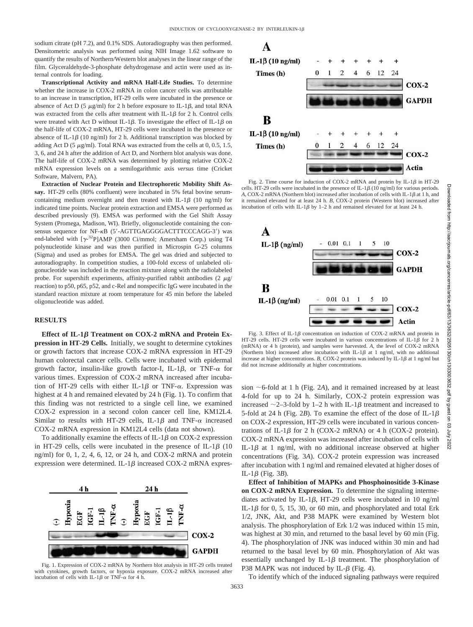sodium citrate (pH 7.2), and 0.1% SDS. Autoradiography was then performed. Densitometric analysis was performed using NIH Image 1.62 software to quantify the results of Northern/Western blot analyses in the linear range of the film. Glyceraldehyde-3-phosphate dehydrogenase and actin were used as internal controls for loading.

**Transcriptional Activity and mRNA Half-Life Studies.** To determine whether the increase in COX-2 mRNA in colon cancer cells was attributable to an increase in transcription, HT-29 cells were incubated in the presence or absence of Act D (5  $\mu$ g/ml) for 2 h before exposure to IL-1 $\beta$ , and total RNA was extracted from the cells after treatment with IL-1 $\beta$  for 2 h. Control cells were treated with Act D without IL-1 $\beta$ . To investigate the effect of IL-1 $\beta$  on the half-life of COX-2 mRNA, HT-29 cells were incubated in the presence or absence of IL-1 $\beta$  (10 ng/ml) for 2 h. Additional transcription was blocked by adding Act D (5  $\mu$ g/ml). Total RNA was extracted from the cells at 0, 0.5, 1.5, 3, 6, and 24 h after the addition of Act D, and Northern blot analysis was done. The half-life of COX-2 mRNA was determined by plotting relative COX-2 mRNA expression levels on a semilogarithmic axis *versus* time (Cricket Software, Malvern, PA).

**Extraction of Nuclear Protein and Electrophoretic Mobility Shift Assay.** HT-29 cells (80% confluent) were incubated in 5% fetal bovine serumcontaining medium overnight and then treated with IL-1 $\beta$  (10 ng/ml) for indicated time points. Nuclear protein extraction and EMSA were performed as described previously (9). EMSA was performed with the Gel Shift Assay System (Promega, Madison, WI). Briefly, oligonucleotide containing the consensus sequence for NF- $\kappa$ B (5'-AGTTGAGGGGACTTTCCCAGG-3') was end-labeled with  $[\gamma^{-32}P]$ AMP (3000 Ci/mmol; Amersham Corp.) using T4 polynucleotide kinase and was then purified in Microspin G-25 columns (Sigma) and used as probes for EMSA. The gel was dried and subjected to autoradiography. In competition studies, a 100-fold excess of unlabeled oligonucleotide was included in the reaction mixture along with the radiolabeled probe. For supershift experiments, affinity-purified rabbit antibodies  $(2 \mu g)$ reaction) to p50, p65, p52, and c-Rel and nonspecific IgG were incubated in the standard reaction mixture at room temperature for 45 min before the labeled oligonucleotide was added.

#### **RESULTS**

Effect of IL-1<sup>β</sup> Treatment on COX-2 mRNA and Protein Ex**pression in HT-29 Cells.** Initially, we sought to determine cytokines or growth factors that increase COX-2 mRNA expression in HT-29 human colorectal cancer cells. Cells were incubated with epidermal growth factor, insulin-like growth factor-I, IL-1 $\beta$ , or TNF- $\alpha$  for various times. Expression of COX-2 mRNA increased after incubation of HT-29 cells with either IL-1 $\beta$  or TNF- $\alpha$ . Expression was highest at 4 h and remained elevated by 24 h (Fig. 1). To confirm that this finding was not restricted to a single cell line, we examined COX-2 expression in a second colon cancer cell line, KM12L4. Similar to results with HT-29 cells, IL-1 $\beta$  and TNF- $\alpha$  increased COX-2 mRNA expression in KM12L4 cells (data not shown).

To additionally examine the effects of IL-1 $\beta$  on COX-2 expression in HT-29 cells, cells were incubated in the presence of IL-1 $\beta$  (10 ng/ml) for 0, 1, 2, 4, 6, 12, or 24 h, and COX-2 mRNA and protein expression were determined. IL-1 $\beta$  increased COX-2 mRNA expres-





A IL-1β (10 ng/ml)  $\ddot{}$ 12 24 Times (h)  $\mathfrak{D}$  $\overline{A}$ 6  $COX-2$ **GAPDH** B IL-1β (10 ng/ml) 12  $24$  $\mathcal{D}$ 6 Times (h)  $\overline{4}$  $COX-2$ Actin

Fig. 2. Time course for induction of COX-2 mRNA and protein by IL-1 $\beta$  in HT-29 cells. HT-29 cells were incubated in the presence of IL-1 $\beta$  (10 ng/ml) for various periods. A, COX-2 mRNA (Northern blot) increased after incubation of cells with IL-1 $\beta$  at 1 h, and it remained elevated for at least 24 h. *B*, COX-2 protein (Western blot) increased after incubation of cells with IL-1 $\beta$  by 1–2 h and remained elevated for at least 24 h.



Fig. 3. Effect of IL-1 $\beta$  concentration on induction of COX-2 mRNA and protein in HT-29 cells. HT-29 cells were incubated in various concentrations of IL-1 $\beta$  for 2 h (mRNA) or 4 h (protein), and samples were harvested. *A*, the level of COX-2 mRNA (Northern blot) increased after incubation with IL-1 $\beta$  at 1 ng/ml, with no additional increase at higher concentrations. *B*, COX-2 protein was induced by IL-1 $\beta$  at 1 ng/ml but did not increase additionally at higher concentrations.

sion  $\sim$  6-fold at 1 h (Fig. 2A), and it remained increased by at least 4-fold for up to 24 h. Similarly, COX-2 protein expression was increased  $\sim$  2–3-fold by 1–2 h with IL-1 $\beta$  treatment and increased to 5-fold at 24 h (Fig. 2*B*). To examine the effect of the dose of IL-1 $\beta$ on COX-2 expression, HT-29 cells were incubated in various concentrations of IL-1 $\beta$  for 2 h (COX-2 mRNA) or 4 h (COX-2 protein). COX-2 mRNA expression was increased after incubation of cells with IL-1 $\beta$  at 1 ng/ml, with no additional increase observed at higher concentrations (Fig. 3*A*). COX-2 protein expression was increased after incubation with 1 ng/ml and remained elevated at higher doses of IL-1 $\beta$  (Fig. 3*B*).

**Effect of Inhibition of MAPKs and Phosphoinositide 3-Kinase on COX-2 mRNA Expression.** To determine the signaling intermediates activated by IL-1 $\beta$ . HT-29 cells were incubated in 10 ng/ml IL-1 $\beta$  for 0, 5, 15, 30, or 60 min, and phosphorylated and total Erk 1/2, JNK, Akt, and P38 MAPK were examined by Western blot analysis. The phosphorylation of Erk 1/2 was induced within 15 min, was highest at 30 min, and returned to the basal level by 60 min (Fig. 4). The phosphorylation of JNK was induced within 30 min and had returned to the basal level by 60 min. Phosphorylation of Akt was essentially unchanged by IL-1 $\beta$  treatment. The phosphorylation of P38 MAPK was not induced by IL- $\beta$  (Fig. 4).

To identify which of the induced signaling pathways were required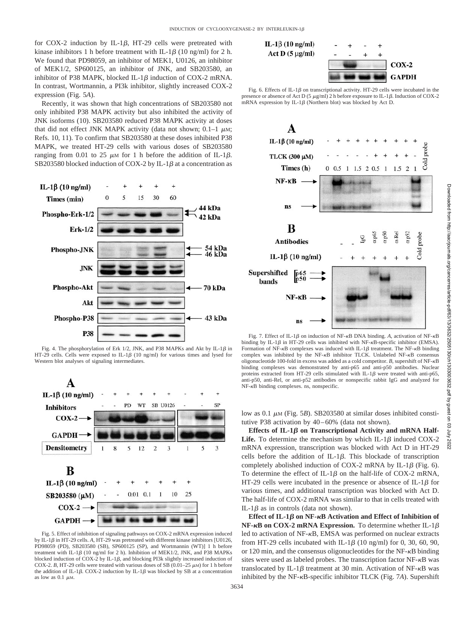for COX-2 induction by IL-1 $\beta$ , HT-29 cells were pretreated with kinase inhibitors 1 h before treatment with IL-1 $\beta$  (10 ng/ml) for 2 h. We found that PD98059, an inhibitor of MEK1, U0126, an inhibitor of MEK1/2, SP600125, an inhibitor of JNK, and SB203580, an inhibitor of P38 MAPK, blocked IL-1 $\beta$  induction of COX-2 mRNA. In contrast, Wortmannin, a PI3k inhibitor, slightly increased COX-2 expression (Fig. 5*A*).

Recently, it was shown that high concentrations of SB203580 not only inhibited P38 MAPK activity but also inhibited the activity of JNK isoforms (10). SB203580 reduced P38 MAPK activity at doses that did not effect JNK MAPK activity (data not shown;  $0.1-1 \mu$ M; Refs. 10, 11). To confirm that SB203580 at these doses inhibited P38 MAPK, we treated HT-29 cells with various doses of SB203580 ranging from 0.01 to 25  $\mu$ M for 1 h before the addition of IL-1 $\beta$ . SB203580 blocked induction of COX-2 by IL-1 $\beta$  at a concentration as



Fig. 4. The phosphorylation of Erk  $1/2$ , JNK, and P38 MAPKs and Akt by IL-1 $\beta$  in HT-29 cells. Cells were exposed to IL-1 $\beta$  (10 ng/ml) for various times and lysed for Western blot analyses of signaling intermediates.



Fig. 5. Effect of inhibition of signaling pathways on COX-2 mRNA expression induced by IL-1 $\beta$  in HT-29 cells. A, HT-29 was pretreated with different kinase inhibitors [U0126, PD98059 (PD), SB203580 (SB), SP600125 (SP), and Wortmannin (WT)] 1 h before treatment with IL-1 $\beta$  (10 ng/ml for 2 h). Inhibition of MEK1/2, JNK, and P38 MAPKs blocked induction of COX-2 by IL-1 $\beta$ , and blocking PI3k slightly increased induction of COX-2. *B*, HT-29 cells were treated with various doses of SB (0.01–25  $\mu$ M) for 1 h before the addition of IL-1 $\beta$ , COX-2 induction by IL-1 $\beta$  was blocked by SB at a concentration as low as  $0.1 \mu$ M.



Fig. 6. Effects of IL-1 $\beta$  on transcriptional activity. HT-29 cells were incubated in the presence or absence of Act D (5  $\mu$ g/ml) 2 h before exposure to IL-1 $\beta$ . Induction of COX-2 mRNA expression by IL-1 $\beta$  (Northern blot) was blocked by Act D.



Fig. 7. Effect of IL-1 $\beta$  on induction of NF- $\kappa$ B DNA binding. A, activation of NF- $\kappa$ B binding by IL-1 $\beta$  in HT-29 cells was inhibited with NF- $\kappa$ B-specific inhibitor (EMSA). Formation of NF- $\kappa$ B complexes was induced with IL-1 $\beta$  treatment. The NF- $\kappa$ B binding complex was inhibited by the NF- $\kappa$ B inhibitor TLCK. Unlabeled NF- $\kappa$ B consensus oligonucleotide 100-fold in excess was added as a cold competitor. *B*, supershift of NF- $\kappa$ B binding complexes was demonstrated by anti-p65 and anti-p50 antibodies. Nuclear proteins extracted from HT-29 cells stimulated with IL-1 $\beta$  were treated with anti-p65, anti-p50, anti-Rel, or anti-p52 antibodies or nonspecific rabbit IgG and analyzed for NF- $\kappa$ B binding complexes. ns, nonspecific.

low as 0.1  $\mu$ M (Fig. 5*B*). SB203580 at similar doses inhibited constitutive P38 activation by 40–60% (data not shown).

Effects of IL-1 $\beta$  on Transcriptional Activity and mRNA Half-**Life.** To determine the mechanism by which IL-1 $\beta$  induced COX-2 mRNA expression, transcription was blocked with Act D in HT-29 cells before the addition of IL-1 $\beta$ . This blockade of transcription completely abolished induction of COX-2 mRNA by IL-1 $\beta$  (Fig. 6). To determine the effect of IL-1 $\beta$  on the half-life of COX-2 mRNA, HT-29 cells were incubated in the presence or absence of IL-1 $\beta$  for various times, and additional transcription was blocked with Act D. The half-life of COX-2 mRNA was similar to that in cells treated with IL-1 $\beta$  as in controls (data not shown).

**Effect of IL-1 on NF-**-**B Activation and Effect of Inhibition of**  $NF$ - $\kappa$ B on COX-2 mRNA Expression. To determine whether IL-1 $\beta$ led to activation of NF- $\kappa$ B, EMSA was performed on nuclear extracts from HT-29 cells incubated with IL-1 $\beta$  (10 ng/ml) for 0, 30, 60, 90, or 120 min, and the consensus oligonucleotides for the  $NF - \kappa B$  binding sites were used as labeled probes. The transcription factor NF- $\kappa$ B was translocated by IL-1 $\beta$  treatment at 30 min. Activation of NF- $\kappa$ B was inhibited by the NF- $\kappa$ B-specific inhibitor TLCK (Fig. 7A). Supershift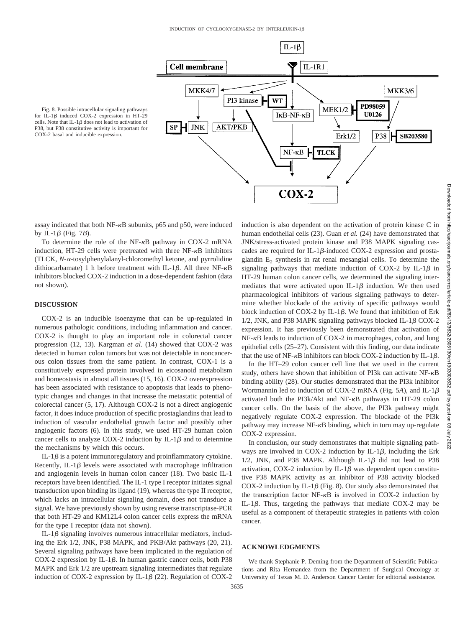

Fig. 8. Possible intracellular signaling pathways for IL-1 $\beta$  induced COX-2 expression in HT-29 cells. Note that  $IL-1B$  does not lead to activation of P38, but P38 constitutive activity is important for COX-2 basal and inducible expression.

assay indicated that both  $NF-\kappa B$  subunits, p65 and p50, were induced by IL-1 $\beta$  (Fig. 7*B*).

To determine the role of the  $NF-\kappa B$  pathway in COX-2 mRNA induction, HT-29 cells were pretreated with three NF- $\kappa$ B inhibitors (TLCK, N-α-tosylphenylalanyl-chloromethyl ketone, and pyrrolidine dithiocarbamate) 1 h before treatment with IL-1 $\beta$ . All three NF- $\kappa$ B inhibitors blocked COX-2 induction in a dose-dependent fashion (data not shown).

#### **DISCUSSION**

COX-2 is an inducible isoenzyme that can be up-regulated in numerous pathologic conditions, including inflammation and cancer. COX-2 is thought to play an important role in colorectal cancer progression (12, 13). Kargman *et al.* (14) showed that COX-2 was detected in human colon tumors but was not detectable in noncancerous colon tissues from the same patient. In contrast, COX-1 is a constitutively expressed protein involved in eicosanoid metabolism and homeostasis in almost all tissues (15, 16). COX-2 overexpression has been associated with resistance to apoptosis that leads to phenotypic changes and changes in that increase the metastatic potential of colorectal cancer (5, 17). Although COX-2 is not a direct angiogenic factor, it does induce production of specific prostaglandins that lead to induction of vascular endothelial growth factor and possibly other angiogenic factors (6). In this study, we used HT-29 human colon cancer cells to analyze COX-2 induction by IL-1 $\beta$  and to determine the mechanisms by which this occurs.

IL-1 $\beta$  is a potent immunoregulatory and proinflammatory cytokine. Recently, IL-1 $\beta$  levels were associated with macrophage infiltration and angiogenin levels in human colon cancer (18). Two basic IL-1 receptors have been identified. The IL-1 type I receptor initiates signal transduction upon binding its ligand (19), whereas the type II receptor, which lacks an intracellular signaling domain, does not transduce a signal. We have previously shown by using reverse transcriptase-PCR that both HT-29 and KM12L4 colon cancer cells express the mRNA for the type I receptor (data not shown).

IL-1 $\beta$  signaling involves numerous intracellular mediators, including the Erk 1/2, JNK, P38 MAPK, and PKB/Akt pathways (20, 21). Several signaling pathways have been implicated in the regulation of COX-2 expression by IL-1 $\beta$ . In human gastric cancer cells, both P38 MAPK and Erk 1/2 are upstream signaling intermediates that regulate induction of COX-2 expression by IL-1 $\beta$  (22). Regulation of COX-2 induction is also dependent on the activation of protein kinase C in human endothelial cells (23). Guan *et al.* (24) have demonstrated that JNK/stress-activated protein kinase and P38 MAPK signaling cascades are required for IL-1 $\beta$ -induced COX-2 expression and prostaglandin  $E<sub>2</sub>$  synthesis in rat renal mesangial cells. To determine the signaling pathways that mediate induction of COX-2 by IL-1 $\beta$  in HT-29 human colon cancer cells, we determined the signaling intermediates that were activated upon IL-1 $\beta$  induction. We then used pharmacological inhibitors of various signaling pathways to determine whether blockade of the activity of specific pathways would block induction of COX-2 by IL-1 $\beta$ . We found that inhibition of Erk 1/2, JNK, and P38 MAPK signaling pathways blocked IL-1 $\beta$  COX-2 expression. It has previously been demonstrated that activation of  $NF-\kappa B$  leads to induction of COX-2 in macrophages, colon, and lung epithelial cells (25–27). Consistent with this finding, our data indicate that the use of NF- $\kappa$ B inhibitors can block COX-2 induction by IL-1 $\beta$ .

In the HT–29 colon cancer cell line that we used in the current study, others have shown that inhibition of PI3k can activate  $NF-\kappa B$ binding ability (28). Our studies demonstrated that the PI3k inhibitor Wortmannin led to induction of COX-2 mRNA (Fig. 5*A*), and IL-1 activated both the PI3k/Akt and NF- $\kappa$ B pathways in HT-29 colon cancer cells. On the basis of the above, the PI3k pathway might negatively regulate COX-2 expression. The blockade of the PI3k pathway may increase  $NF-\kappa B$  binding, which in turn may up-regulate COX-2 expression.

In conclusion, our study demonstrates that multiple signaling pathways are involved in COX-2 induction by IL-1 $\beta$ , including the Erk  $1/2$ , JNK, and P38 MAPK. Although IL-1 $\beta$  did not lead to P38 activation, COX-2 induction by IL-1 $\beta$  was dependent upon constitutive P38 MAPK activity as an inhibitor of P38 activity blocked COX-2 induction by IL-1 $\beta$  (Fig. 8). Our study also demonstrated that the transcription factor NF- $\kappa$ B is involved in COX-2 induction by IL-1 $\beta$ . Thus, targeting the pathways that mediate COX-2 may be useful as a component of therapeutic strategies in patients with colon cancer.

# **ACKNOWLEDGMENTS**

We thank Stephanie P. Deming from the Department of Scientific Publications and Rita Hernandez from the Department of Surgical Oncology at University of Texas M. D. Anderson Cancer Center for editorial assistance.